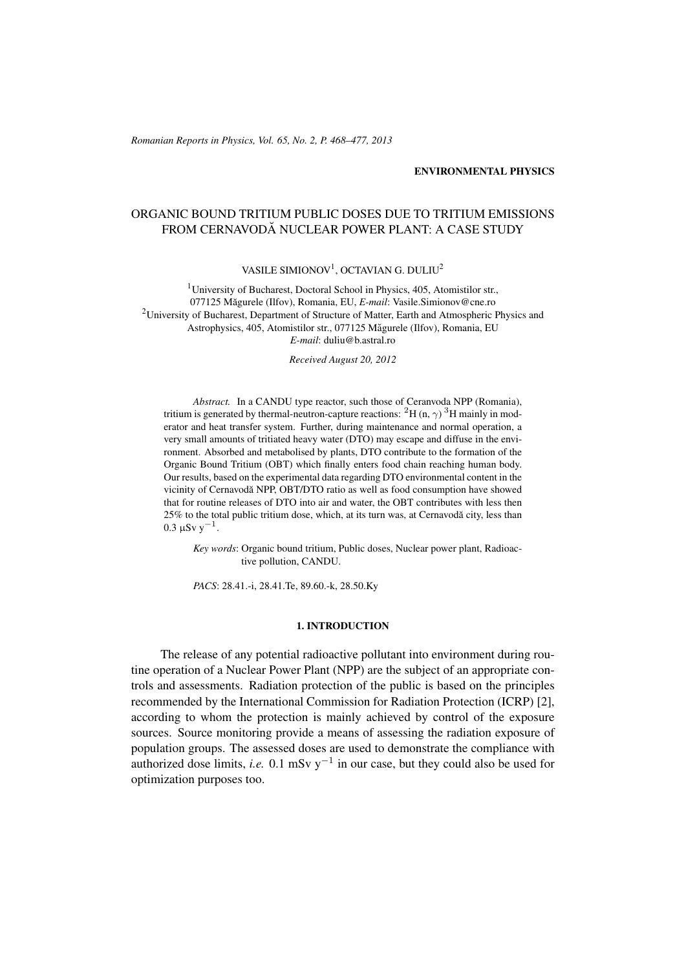(c) RRP 65(No. 2) 468–477 2013 *Romanian Reports in Physics, Vol. 65, No. 2, P. 468–477, 2013*

### ENVIRONMENTAL PHYSICS

# ORGANIC BOUND TRITIUM PUBLIC DOSES DUE TO TRITIUM EMISSIONS FROM CERNAVODĂ NUCLEAR POWER PLANT: A CASE STUDY

VASILE SIMIONOV<sup>1</sup>, OCTAVIAN G. DULIU<sup>2</sup>

<sup>1</sup>University of Bucharest, Doctoral School in Physics, 405, Atomistilor str., 077125 Măgurele (Ilfov), Romania, EU, E-mail: Vasile.Simionov@cne.ro <sup>2</sup>University of Bucharest, Department of Structure of Matter, Earth and Atmospheric Physics and Astrophysics, 405, Atomistilor str., 077125 Măgurele (Ilfov), Romania, EU *E-mail*: duliu@b.astral.ro

*Received August 20, 2012*

*Abstract.* In a CANDU type reactor, such those of Ceranvoda NPP (Romania), tritium is generated by thermal-neutron-capture reactions:  ${}^{2}H$  (n,  $\gamma$ )  ${}^{3}H$  mainly in moderator and heat transfer system. Further, during maintenance and normal operation, a very small amounts of tritiated heavy water (DTO) may escape and diffuse in the environment. Absorbed and metabolised by plants, DTO contribute to the formation of the Organic Bound Tritium (OBT) which finally enters food chain reaching human body. Our results, based on the experimental data regarding DTO environmental content in the vicinity of Cernavodă NPP, OBT/DTO ratio as well as food consumption have showed that for routine releases of DTO into air and water, the OBT contributes with less then 25% to the total public tritium dose, which, at its turn was, at Cernavodă city, less than  $0.3 \mu Sv y^{-1}$ .

*Key words*: Organic bound tritium, Public doses, Nuclear power plant, Radioactive pollution, CANDU.

*PACS*: 28.41.-i, 28.41.Te, 89.60.-k, 28.50.Ky

# 1. INTRODUCTION

The release of any potential radioactive pollutant into environment during routine operation of a Nuclear Power Plant (NPP) are the subject of an appropriate controls and assessments. Radiation protection of the public is based on the principles recommended by the International Commission for Radiation Protection (ICRP) [2], according to whom the protection is mainly achieved by control of the exposure sources. Source monitoring provide a means of assessing the radiation exposure of population groups. The assessed doses are used to demonstrate the compliance with authorized dose limits, *i.e.* 0.1 mSv  $y^{-1}$  in our case, but they could also be used for optimization purposes too.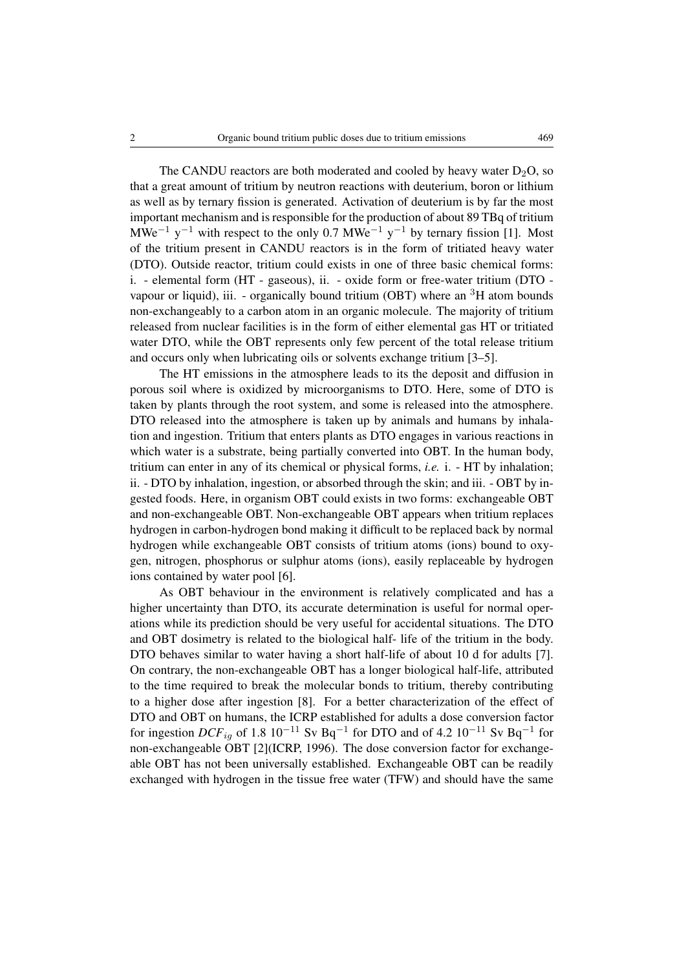The CANDU reactors are both moderated and cooled by heavy water  $D_2O$ , so that a great amount of tritium by neutron reactions with deuterium, boron or lithium as well as by ternary fission is generated. Activation of deuterium is by far the most important mechanism and is responsible for the production of about 89 TBq of tritium MWe<sup>-1</sup> y<sup>-1</sup> with respect to the only 0.7 MWe<sup>-1</sup> y<sup>-1</sup> by ternary fission [1]. Most of the tritium present in CANDU reactors is in the form of tritiated heavy water (DTO). Outside reactor, tritium could exists in one of three basic chemical forms: i. - elemental form (HT - gaseous), ii. - oxide form or free-water tritium (DTO vapour or liquid), iii. - organically bound tritium (OBT) where an  ${}^{3}H$  atom bounds non-exchangeably to a carbon atom in an organic molecule. The majority of tritium released from nuclear facilities is in the form of either elemental gas HT or tritiated water DTO, while the OBT represents only few percent of the total release tritium and occurs only when lubricating oils or solvents exchange tritium [3–5].

The HT emissions in the atmosphere leads to its the deposit and diffusion in porous soil where is oxidized by microorganisms to DTO. Here, some of DTO is taken by plants through the root system, and some is released into the atmosphere. DTO released into the atmosphere is taken up by animals and humans by inhalation and ingestion. Tritium that enters plants as DTO engages in various reactions in which water is a substrate, being partially converted into OBT. In the human body, tritium can enter in any of its chemical or physical forms, *i.e.* i. - HT by inhalation; ii. - DTO by inhalation, ingestion, or absorbed through the skin; and iii. - OBT by ingested foods. Here, in organism OBT could exists in two forms: exchangeable OBT and non-exchangeable OBT. Non-exchangeable OBT appears when tritium replaces hydrogen in carbon-hydrogen bond making it difficult to be replaced back by normal hydrogen while exchangeable OBT consists of tritium atoms (ions) bound to oxygen, nitrogen, phosphorus or sulphur atoms (ions), easily replaceable by hydrogen ions contained by water pool [6].

As OBT behaviour in the environment is relatively complicated and has a higher uncertainty than DTO, its accurate determination is useful for normal operations while its prediction should be very useful for accidental situations. The DTO and OBT dosimetry is related to the biological half- life of the tritium in the body. DTO behaves similar to water having a short half-life of about 10 d for adults [7]. On contrary, the non-exchangeable OBT has a longer biological half-life, attributed to the time required to break the molecular bonds to tritium, thereby contributing to a higher dose after ingestion [8]. For a better characterization of the effect of DTO and OBT on humans, the ICRP established for adults a dose conversion factor for ingestion  $DCF_{ig}$  of 1.8  $10^{-11}$  Sv Bq<sup>-1</sup> for DTO and of 4.2  $10^{-11}$  Sv Bq<sup>-1</sup> for non-exchangeable OBT [2](ICRP, 1996). The dose conversion factor for exchangeable OBT has not been universally established. Exchangeable OBT can be readily exchanged with hydrogen in the tissue free water (TFW) and should have the same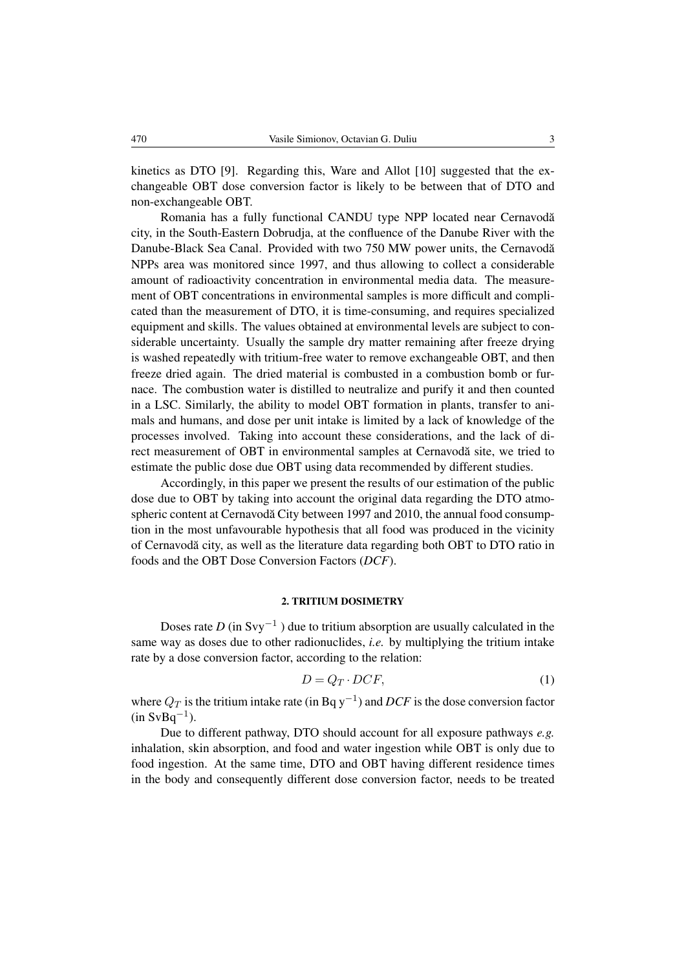kinetics as DTO [9]. Regarding this, Ware and Allot [10] suggested that the exchangeable OBT dose conversion factor is likely to be between that of DTO and non-exchangeable OBT.

Romania has a fully functional CANDU type NPP located near Cernavodă city, in the South-Eastern Dobrudja, at the confluence of the Danube River with the Danube-Black Sea Canal. Provided with two 750 MW power units, the Cernavodă NPPs area was monitored since 1997, and thus allowing to collect a considerable amount of radioactivity concentration in environmental media data. The measurement of OBT concentrations in environmental samples is more difficult and complicated than the measurement of DTO, it is time-consuming, and requires specialized equipment and skills. The values obtained at environmental levels are subject to considerable uncertainty. Usually the sample dry matter remaining after freeze drying is washed repeatedly with tritium-free water to remove exchangeable OBT, and then freeze dried again. The dried material is combusted in a combustion bomb or furnace. The combustion water is distilled to neutralize and purify it and then counted in a LSC. Similarly, the ability to model OBT formation in plants, transfer to animals and humans, and dose per unit intake is limited by a lack of knowledge of the processes involved. Taking into account these considerations, and the lack of direct measurement of OBT in environmental samples at Cernavodă site, we tried to estimate the public dose due OBT using data recommended by different studies.

Accordingly, in this paper we present the results of our estimation of the public dose due to OBT by taking into account the original data regarding the DTO atmospheric content at Cernavodă City between 1997 and 2010, the annual food consumption in the most unfavourable hypothesis that all food was produced in the vicinity of Cernavoda city, as well as the literature data regarding both OBT to DTO ratio in ˘ foods and the OBT Dose Conversion Factors (*DCF*).

# 2. TRITIUM DOSIMETRY

Doses rate *D* (in Svy−<sup>1</sup> ) due to tritium absorption are usually calculated in the same way as doses due to other radionuclides, *i.e.* by multiplying the tritium intake rate by a dose conversion factor, according to the relation:

$$
D = Q_T \cdot DCF,\tag{1}
$$

where  $Q_T$  is the tritium intake rate (in Bq y<sup>-1</sup>) and *DCF* is the dose conversion factor  $(in SvBq^{-1}).$ 

Due to different pathway, DTO should account for all exposure pathways *e.g.* inhalation, skin absorption, and food and water ingestion while OBT is only due to food ingestion. At the same time, DTO and OBT having different residence times in the body and consequently different dose conversion factor, needs to be treated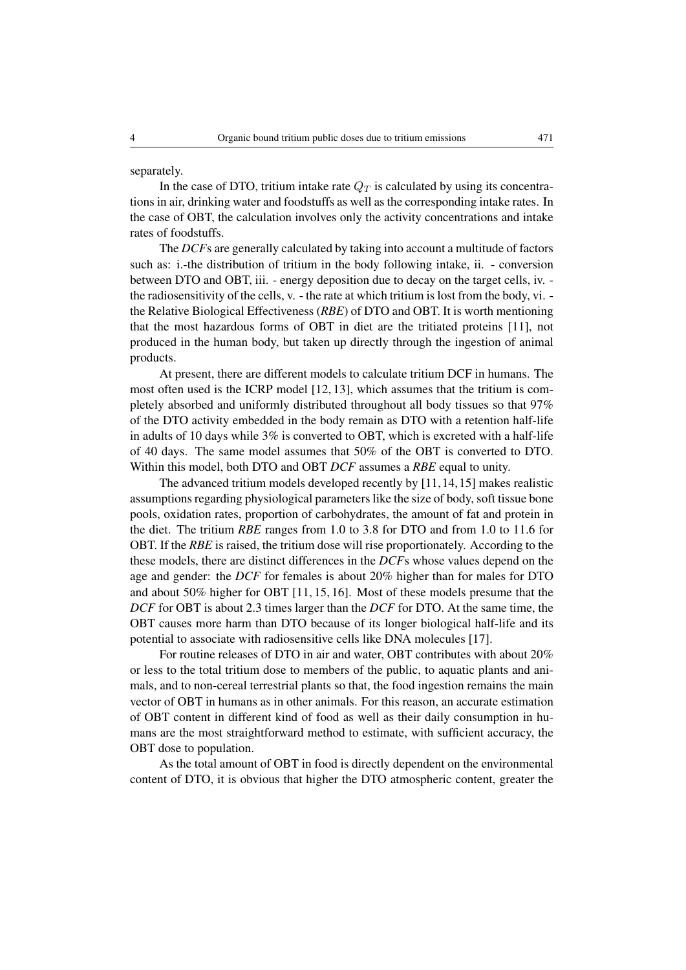separately.

In the case of DTO, tritium intake rate  $Q_T$  is calculated by using its concentrations in air, drinking water and foodstuffs as well as the corresponding intake rates. In the case of OBT, the calculation involves only the activity concentrations and intake rates of foodstuffs.

The *DCF*s are generally calculated by taking into account a multitude of factors such as: i.-the distribution of tritium in the body following intake, ii. - conversion between DTO and OBT, iii. - energy deposition due to decay on the target cells, iv. the radiosensitivity of the cells, v. - the rate at which tritium is lost from the body, vi. the Relative Biological Effectiveness (*RBE*) of DTO and OBT. It is worth mentioning that the most hazardous forms of OBT in diet are the tritiated proteins [11], not produced in the human body, but taken up directly through the ingestion of animal products.

At present, there are different models to calculate tritium DCF in humans. The most often used is the ICRP model [12, 13], which assumes that the tritium is completely absorbed and uniformly distributed throughout all body tissues so that 97% of the DTO activity embedded in the body remain as DTO with a retention half-life in adults of 10 days while 3% is converted to OBT, which is excreted with a half-life of 40 days. The same model assumes that 50% of the OBT is converted to DTO. Within this model, both DTO and OBT *DCF* assumes a *RBE* equal to unity.

The advanced tritium models developed recently by [11,14,15] makes realistic assumptions regarding physiological parameters like the size of body, soft tissue bone pools, oxidation rates, proportion of carbohydrates, the amount of fat and protein in the diet. The tritium *RBE* ranges from 1.0 to 3.8 for DTO and from 1.0 to 11.6 for OBT. If the *RBE* is raised, the tritium dose will rise proportionately. According to the these models, there are distinct differences in the *DCF*s whose values depend on the age and gender: the *DCF* for females is about 20% higher than for males for DTO and about 50% higher for OBT [11, 15, 16]. Most of these models presume that the *DCF* for OBT is about 2.3 times larger than the *DCF* for DTO. At the same time, the OBT causes more harm than DTO because of its longer biological half-life and its potential to associate with radiosensitive cells like DNA molecules [17].

For routine releases of DTO in air and water, OBT contributes with about 20% or less to the total tritium dose to members of the public, to aquatic plants and animals, and to non-cereal terrestrial plants so that, the food ingestion remains the main vector of OBT in humans as in other animals. For this reason, an accurate estimation of OBT content in different kind of food as well as their daily consumption in humans are the most straightforward method to estimate, with sufficient accuracy, the OBT dose to population.

As the total amount of OBT in food is directly dependent on the environmental content of DTO, it is obvious that higher the DTO atmospheric content, greater the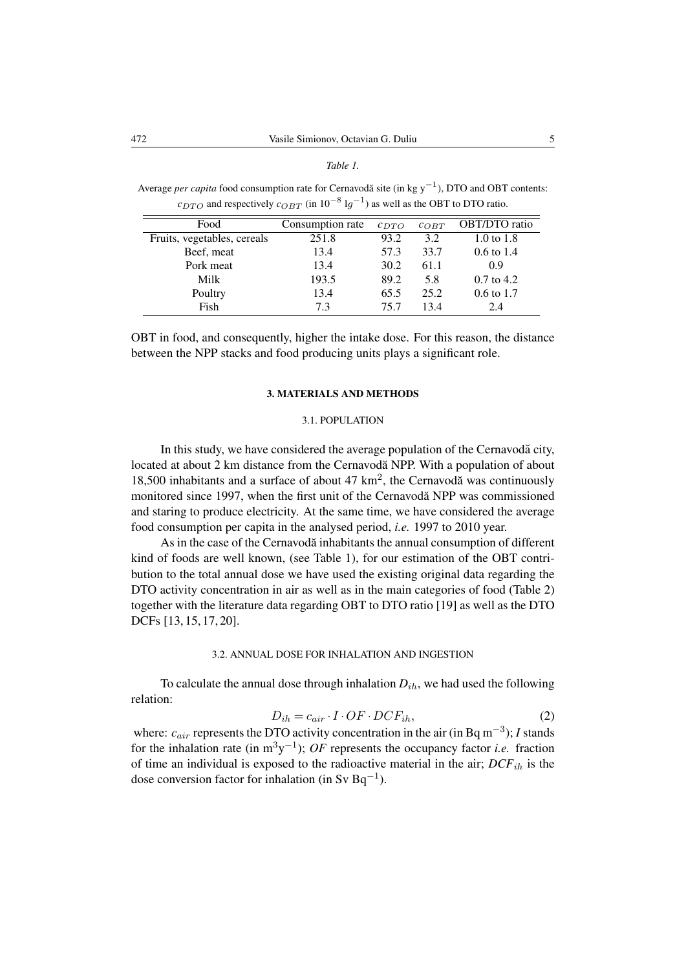#### *Table 1.*

Average *per capita* food consumption rate for Cernavodă site (in kg  $y^{-1}$ ), DTO and OBT contents:  $c_{DTO}$  and respectively  $c_{OBT}$  (in  $10^{-8}$  lg<sup>-1</sup>) as well as the OBT to DTO ratio.

| Food                        | Consumption rate | $c_{DTO}$<br>$C$ $O$ $B$ $T$ |      | <b>OBT/DTO</b> ratio  |  |
|-----------------------------|------------------|------------------------------|------|-----------------------|--|
| Fruits, vegetables, cereals | 251.8            | 93.2                         | 3.2  | 1.0 to 1.8            |  |
| Beef, meat                  | 13.4             | 57.3                         | 33.7 | $0.6 \text{ to } 1.4$ |  |
| Pork meat                   | 13.4             | 30.2                         | 61.1 | 0.9                   |  |
| Milk                        | 193.5            | 89.2                         | 5.8  | $0.7$ to 4.2          |  |
| Poultry                     | 13.4             | 65.5                         | 25.2 | $0.6 \text{ to } 1.7$ |  |
| Fish                        | 7.3              | 75.7                         | 13.4 | 2.4                   |  |

OBT in food, and consequently, higher the intake dose. For this reason, the distance between the NPP stacks and food producing units plays a significant role.

#### 3. MATERIALS AND METHODS

# 3.1. POPULATION

In this study, we have considered the average population of the Cernavoda city, located at about 2 km distance from the Cernavodă NPP. With a population of about 18,500 inhabitants and a surface of about 47  $km^2$ , the Cernavodă was continuously monitored since 1997, when the first unit of the Cernavodă NPP was commissioned and staring to produce electricity. At the same time, we have considered the average food consumption per capita in the analysed period, *i.e.* 1997 to 2010 year.

As in the case of the Cernavodă inhabitants the annual consumption of different kind of foods are well known, (see Table 1), for our estimation of the OBT contribution to the total annual dose we have used the existing original data regarding the DTO activity concentration in air as well as in the main categories of food (Table 2) together with the literature data regarding OBT to DTO ratio [19] as well as the DTO DCFs [13, 15, 17, 20].

# 3.2. ANNUAL DOSE FOR INHALATION AND INGESTION

To calculate the annual dose through inhalation  $D_{ih}$ , we had used the following relation:

$$
D_{ih} = c_{air} \cdot I \cdot OF \cdot DCF_{ih},\tag{2}
$$

where:  $c_{air}$  represents the DTO activity concentration in the air (in Bq m<sup>-3</sup>); *I* stands for the inhalation rate (in  $m^3y^{-1}$ ); *OF* represents the occupancy factor *i.e.* fraction of time an individual is exposed to the radioactive material in the air;  $DCF_{ih}$  is the dose conversion factor for inhalation (in Sv Bq<sup>-1</sup>).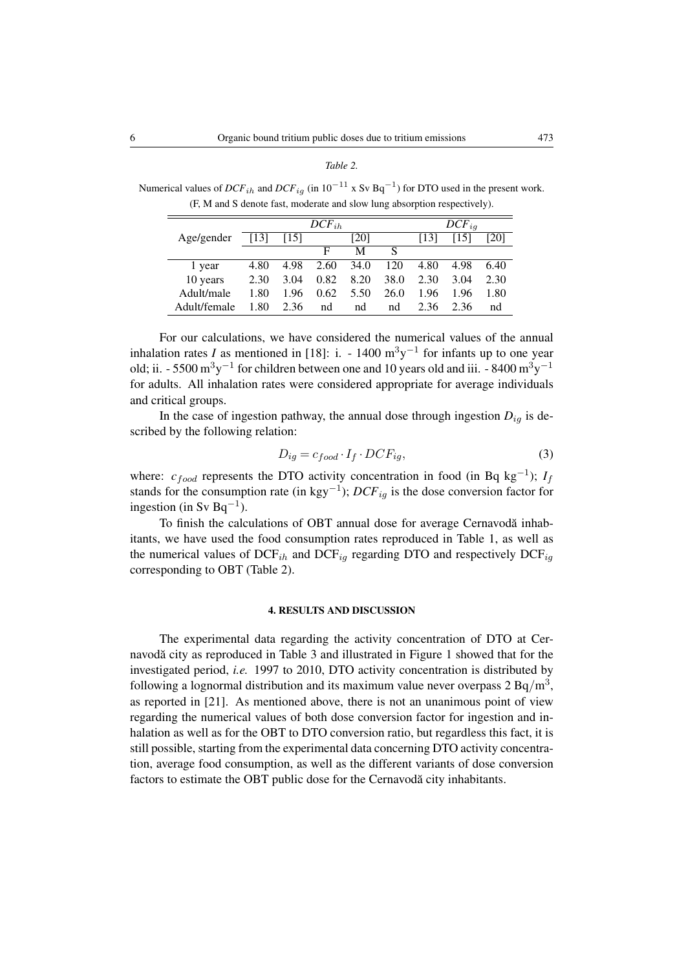| ani<br>ï |
|----------|
|----------|

Numerical values of  $DCF_{ih}$  and  $DCF_{ig}$  (in  $10^{-11}$  x Sv Bq<sup>-1</sup>) for DTO used in the present work. (F, M and S denote fast, moderate and slow lung absorption respectively).

|              | $DCF_{ih}$ |      |      |      | $DCF_{ia}$ |      |      |      |
|--------------|------------|------|------|------|------------|------|------|------|
| Age/gender   | [13]       | [15] |      | [20] |            | [13] | [15] | [20] |
|              |            |      | F    | М    | S          |      |      |      |
| 1 year       | 4.80       | 4.98 | 2.60 | 34.0 | 120        | 4.80 | 4.98 | 6.40 |
| 10 years     | 2.30       | 3.04 | 0.82 | 8.20 | 38.0       | 2.30 | 3.04 | 2.30 |
| Adult/male   | 1.80       | 1.96 | 0.62 | 5.50 | 26.0       | 1.96 | 1.96 | 1.80 |
| Adult/female | 1.80       | 2.36 | nd   | nd   | nd         | 2.36 | 2.36 | nd   |

For our calculations, we have considered the numerical values of the annual inhalation rates *I* as mentioned in [18]: i.  $-1400 \text{ m}^3\text{y}^{-1}$  for infants up to one year old; ii. - 5500  $\text{m}^3 \text{y}^{-1}$  for children between one and 10 years old and iii. - 8400  $\text{m}^3 \text{y}^{-1}$ for adults. All inhalation rates were considered appropriate for average individuals and critical groups.

In the case of ingestion pathway, the annual dose through ingestion  $D_{ig}$  is described by the following relation:

$$
D_{ig} = c_{food} \cdot I_f \cdot DCF_{ig},\tag{3}
$$

where:  $c_{food}$  represents the DTO activity concentration in food (in Bq kg<sup>-1</sup>);  $I_f$ stands for the consumption rate (in kgy<sup>-1</sup>);  $DCF_{ig}$  is the dose conversion factor for ingestion (in Sv Bq<sup>-1</sup>).

To finish the calculations of OBT annual dose for average Cernavodă inhabitants, we have used the food consumption rates reproduced in Table 1, as well as the numerical values of  $DCF_{ih}$  and  $DCF_{iq}$  regarding DTO and respectively  $DCF_{iq}$ corresponding to OBT (Table 2).

#### 4. RESULTS AND DISCUSSION

The experimental data regarding the activity concentration of DTO at Cernavodă city as reproduced in Table 3 and illustrated in Figure 1 showed that for the investigated period, *i.e.* 1997 to 2010, DTO activity concentration is distributed by following a lognormal distribution and its maximum value never overpass 2 Bq/m<sup>3</sup>, as reported in [21]. As mentioned above, there is not an unanimous point of view regarding the numerical values of both dose conversion factor for ingestion and inhalation as well as for the OBT to DTO conversion ratio, but regardless this fact, it is still possible, starting from the experimental data concerning DTO activity concentration, average food consumption, as well as the different variants of dose conversion factors to estimate the OBT public dose for the Cernavodă city inhabitants.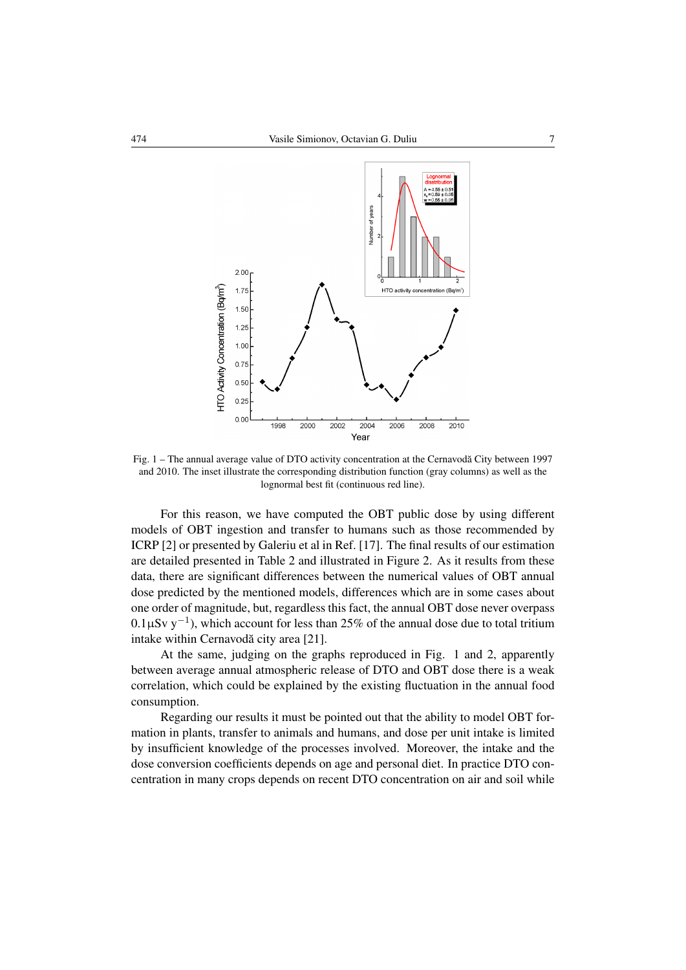

Fig. 1 – The annual average value of DTO activity concentration at the Cernavodă City between 1997 and 2010. The inset illustrate the corresponding distribution function (gray columns) as well as the lognormal best fit (continuous red line).

For this reason, we have computed the OBT public dose by using different models of OBT ingestion and transfer to humans such as those recommended by ICRP [2] or presented by Galeriu et al in Ref. [17]. The final results of our estimation are detailed presented in Table 2 and illustrated in Figure 2. As it results from these data, there are significant differences between the numerical values of OBT annual dose predicted by the mentioned models, differences which are in some cases about one order of magnitude, but, regardless this fact, the annual OBT dose never overpass  $0.1 \mu Sv$  y<sup>-1</sup>), which account for less than 25% of the annual dose due to total tritium intake within Cernavodă city area [21].

At the same, judging on the graphs reproduced in Fig. 1 and 2, apparently between average annual atmospheric release of DTO and OBT dose there is a weak correlation, which could be explained by the existing fluctuation in the annual food consumption.

Regarding our results it must be pointed out that the ability to model OBT formation in plants, transfer to animals and humans, and dose per unit intake is limited by insufficient knowledge of the processes involved. Moreover, the intake and the dose conversion coefficients depends on age and personal diet. In practice DTO concentration in many crops depends on recent DTO concentration on air and soil while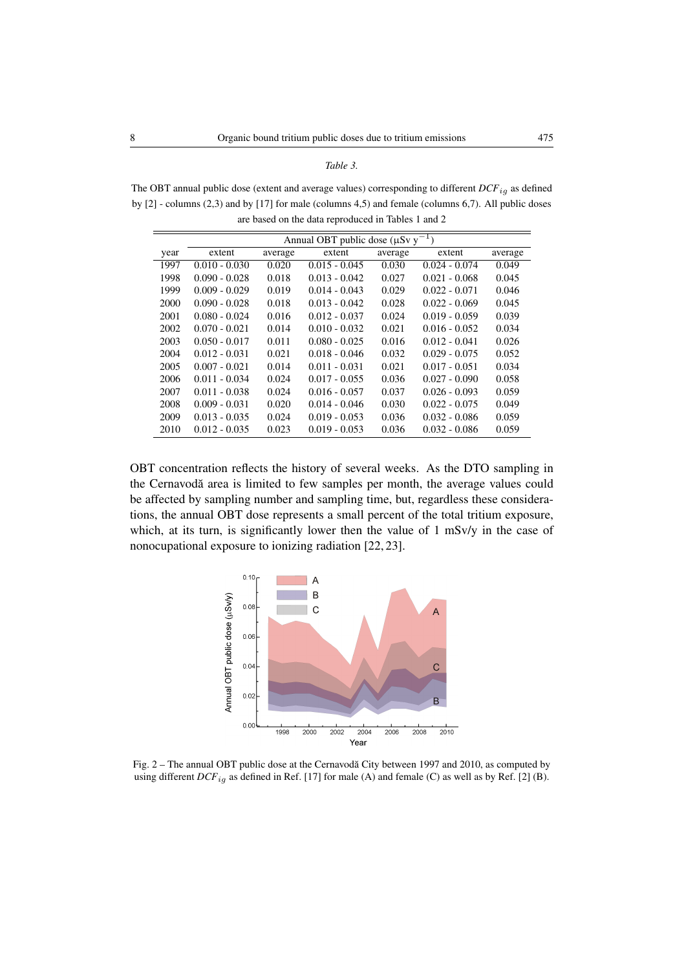The OBT annual public dose (extent and average values) corresponding to different  $DCF_{ig}$  as defined by [2] - columns (2,3) and by [17] for male (columns 4,5) and female (columns 6,7). All public doses are based on the data reproduced in Tables 1 and 2

| Annual OBT public dose ( $\mu Sv$ y <sup>-1</sup> ) |                 |         |                 |         |                 |         |  |  |
|-----------------------------------------------------|-----------------|---------|-----------------|---------|-----------------|---------|--|--|
| year                                                | extent          | average | extent          | average | extent          | average |  |  |
| 1997                                                | $0.010 - 0.030$ | 0.020   | $0.015 - 0.045$ | 0.030   | $0.024 - 0.074$ | 0.049   |  |  |
| 1998                                                | $0.090 - 0.028$ | 0.018   | $0.013 - 0.042$ | 0.027   | $0.021 - 0.068$ | 0.045   |  |  |
| 1999                                                | $0.009 - 0.029$ | 0.019   | $0.014 - 0.043$ | 0.029   | $0.022 - 0.071$ | 0.046   |  |  |
| 2000                                                | $0.090 - 0.028$ | 0.018   | $0.013 - 0.042$ | 0.028   | $0.022 - 0.069$ | 0.045   |  |  |
| 2001                                                | $0.080 - 0.024$ | 0.016   | $0.012 - 0.037$ | 0.024   | $0.019 - 0.059$ | 0.039   |  |  |
| 2002                                                | $0.070 - 0.021$ | 0.014   | $0.010 - 0.032$ | 0.021   | $0.016 - 0.052$ | 0.034   |  |  |
| 2003                                                | $0.050 - 0.017$ | 0.011   | $0.080 - 0.025$ | 0.016   | $0.012 - 0.041$ | 0.026   |  |  |
| 2004                                                | $0.012 - 0.031$ | 0.021   | $0.018 - 0.046$ | 0.032   | $0.029 - 0.075$ | 0.052   |  |  |
| 2005                                                | $0.007 - 0.021$ | 0.014   | $0.011 - 0.031$ | 0.021   | $0.017 - 0.051$ | 0.034   |  |  |
| 2006                                                | $0.011 - 0.034$ | 0.024   | $0.017 - 0.055$ | 0.036   | $0.027 - 0.090$ | 0.058   |  |  |
| 2007                                                | $0.011 - 0.038$ | 0.024   | $0.016 - 0.057$ | 0.037   | $0.026 - 0.093$ | 0.059   |  |  |
| 2008                                                | $0.009 - 0.031$ | 0.020   | $0.014 - 0.046$ | 0.030   | $0.022 - 0.075$ | 0.049   |  |  |
| 2009                                                | $0.013 - 0.035$ | 0.024   | $0.019 - 0.053$ | 0.036   | $0.032 - 0.086$ | 0.059   |  |  |
| 2010                                                | $0.012 - 0.035$ | 0.023   | $0.019 - 0.053$ | 0.036   | $0.032 - 0.086$ | 0.059   |  |  |

OBT concentration reflects the history of several weeks. As the DTO sampling in the Cernavodă area is limited to few samples per month, the average values could be affected by sampling number and sampling time, but, regardless these considerations, the annual OBT dose represents a small percent of the total tritium exposure, which, at its turn, is significantly lower then the value of 1 mSv/y in the case of nonocupational exposure to ionizing radiation [22, 23].



Fig. 2 – The annual OBT public dose at the Cernavodă City between 1997 and 2010, as computed by using different  $DCF_{ig}$  as defined in Ref. [17] for male (A) and female (C) as well as by Ref. [2] (B).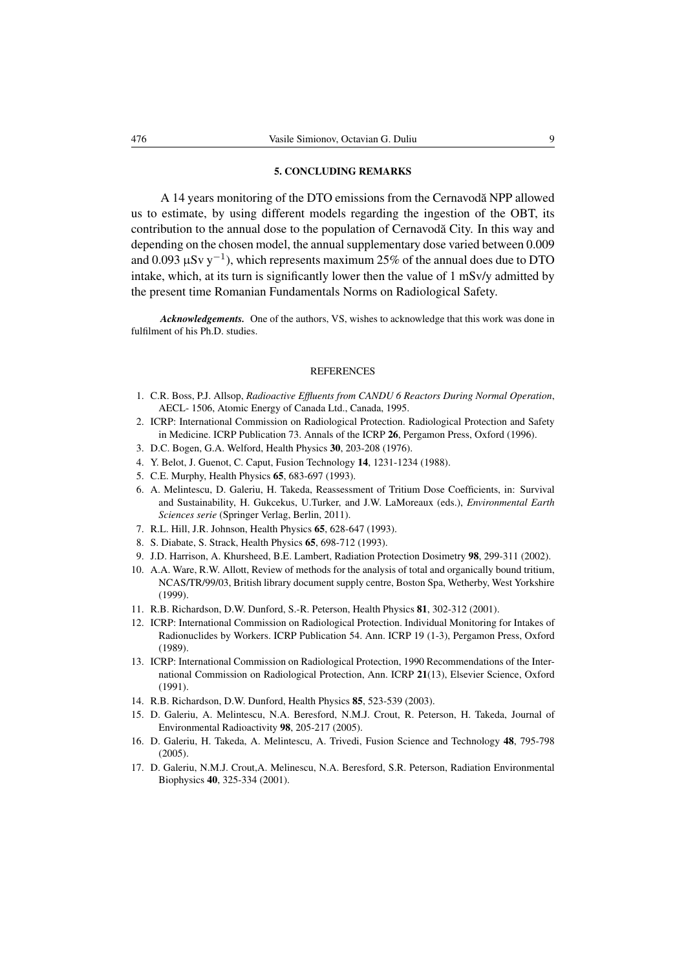# 5. CONCLUDING REMARKS

A 14 years monitoring of the DTO emissions from the Cernavodă NPP allowed us to estimate, by using different models regarding the ingestion of the OBT, its contribution to the annual dose to the population of Cernavoda City. In this way and depending on the chosen model, the annual supplementary dose varied between 0.009 and 0.093  $\mu$ Sv y<sup>-1</sup>), which represents maximum 25% of the annual does due to DTO intake, which, at its turn is significantly lower then the value of 1 mSv/y admitted by the present time Romanian Fundamentals Norms on Radiological Safety.

*Acknowledgements.* One of the authors, VS, wishes to acknowledge that this work was done in fulfilment of his Ph.D. studies.

#### **REFERENCES**

- 1. C.R. Boss, P.J. Allsop, *Radioactive Effluents from CANDU 6 Reactors During Normal Operation*, AECL- 1506, Atomic Energy of Canada Ltd., Canada, 1995.
- 2. ICRP: International Commission on Radiological Protection. Radiological Protection and Safety in Medicine. ICRP Publication 73. Annals of the ICRP 26, Pergamon Press, Oxford (1996).
- 3. D.C. Bogen, G.A. Welford, Health Physics 30, 203-208 (1976).
- 4. Y. Belot, J. Guenot, C. Caput, Fusion Technology 14, 1231-1234 (1988).
- 5. C.E. Murphy, Health Physics 65, 683-697 (1993).
- 6. A. Melintescu, D. Galeriu, H. Takeda, Reassessment of Tritium Dose Coefficients, in: Survival and Sustainability, H. Gukcekus, U.Turker, and J.W. LaMoreaux (eds.), *Environmental Earth Sciences serie* (Springer Verlag, Berlin, 2011).
- 7. R.L. Hill, J.R. Johnson, Health Physics 65, 628-647 (1993).
- 8. S. Diabate, S. Strack, Health Physics 65, 698-712 (1993).
- 9. J.D. Harrison, A. Khursheed, B.E. Lambert, Radiation Protection Dosimetry 98, 299-311 (2002).
- 10. A.A. Ware, R.W. Allott, Review of methods for the analysis of total and organically bound tritium, NCAS/TR/99/03, British library document supply centre, Boston Spa, Wetherby, West Yorkshire (1999).
- 11. R.B. Richardson, D.W. Dunford, S.-R. Peterson, Health Physics 81, 302-312 (2001).
- 12. ICRP: International Commission on Radiological Protection. Individual Monitoring for Intakes of Radionuclides by Workers. ICRP Publication 54. Ann. ICRP 19 (1-3), Pergamon Press, Oxford (1989).
- 13. ICRP: International Commission on Radiological Protection, 1990 Recommendations of the International Commission on Radiological Protection, Ann. ICRP 21(13), Elsevier Science, Oxford (1991).
- 14. R.B. Richardson, D.W. Dunford, Health Physics 85, 523-539 (2003).
- 15. D. Galeriu, A. Melintescu, N.A. Beresford, N.M.J. Crout, R. Peterson, H. Takeda, Journal of Environmental Radioactivity 98, 205-217 (2005).
- 16. D. Galeriu, H. Takeda, A. Melintescu, A. Trivedi, Fusion Science and Technology 48, 795-798 (2005).
- 17. D. Galeriu, N.M.J. Crout,A. Melinescu, N.A. Beresford, S.R. Peterson, Radiation Environmental Biophysics 40, 325-334 (2001).